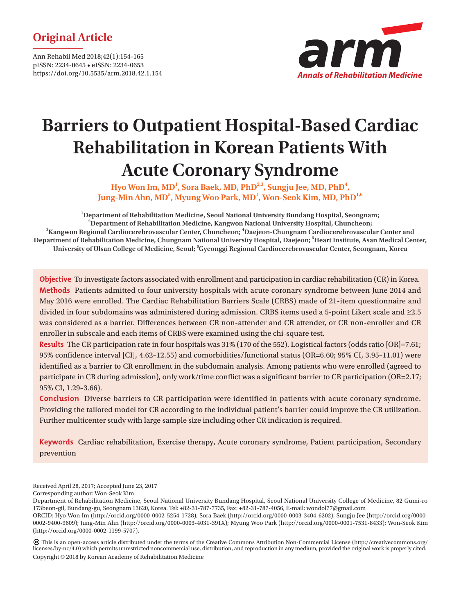# **Original Article**

Ann Rehabil Med 2018;42(1):154-165 pISSN: 2234-0645 • eISSN: 2234-0653 https://doi.org/10.5535/arm.2018.42.1.154



# **Barriers to Outpatient Hospital-Based Cardiac Rehabilitation in Korean Patients With Acute Coronary Syndrome**

Hyo Won Im, MD<sup>1</sup>, Sora Baek, MD, PhD<sup>2,3</sup>, Sungju Jee, MD, PhD<sup>4</sup>, Jung-Min Ahn, MD<sup>5</sup>, Myung Woo Park, MD<sup>1</sup>, Won-Seok Kim, MD, PhD<sup>1,6</sup>

**1 Department of Rehabilitation Medicine, Seoul National University Bundang Hospital, Seongnam; 2 Department of Rehabilitation Medicine, Kangwon National University Hospital, Chuncheon; 3 Kangwon Regional Cardiocerebrovascular Center, Chuncheon; <sup>4</sup> Daejeon-Chungnam Cardiocerebrovascular Center and Department of Rehabilitation Medicine, Chungnam National University Hospital, Daejeon; 5 Heart Institute, Asan Medical Center, University of Ulsan College of Medicine, Seoul; <sup>6</sup> Gyeonggi Regional Cardiocerebrovascular Center, Seongnam, Korea**

**Objective** To investigate factors associated with enrollment and participation in cardiac rehabilitation (CR) in Korea. **Methods** Patients admitted to four university hospitals with acute coronary syndrome between June 2014 and May 2016 were enrolled. The Cardiac Rehabilitation Barriers Scale (CRBS) made of 21-item questionnaire and divided in four subdomains was administered during admission. CRBS items used a 5-point Likert scale and ≥2.5 was considered as a barrier. Differences between CR non-attender and CR attender, or CR non-enroller and CR enroller in subscale and each items of CRBS were examined using the chi-square test.

**Results** The CR participation rate in four hospitals was 31% (170 of the 552). Logistical factors (odds ratio [OR]=7.61; 95% confidence interval [CI], 4.62–12.55) and comorbidities/functional status (OR=6.60; 95% CI, 3.95–11.01) were identified as a barrier to CR enrollment in the subdomain analysis. Among patients who were enrolled (agreed to participate in CR during admission), only work/time conflict was a significant barrier to CR participation (OR=2.17; 95% CI, 1.29–3.66).

**Conclusion** Diverse barriers to CR participation were identified in patients with acute coronary syndrome. Providing the tailored model for CR according to the individual patient's barrier could improve the CR utilization. Further multicenter study with large sample size including other CR indication is required.

**Keywords** Cardiac rehabilitation, Exercise therapy, Acute coronary syndrome, Patient participation, Secondary prevention

(http://orcid.org/0000-0002-1199-5707).

 This is an open-access article distributed under the terms of the Creative Commons Attribution Non-Commercial License (http://creativecommons.org/ licenses/by-nc/4.0) which permits unrestricted noncommercial use, distribution, and reproduction in any medium, provided the original work is properly cited. Copyright © 2018 by Korean Academy of Rehabilitation Medicine

Received April 28, 2017; Accepted June 23, 2017

Corresponding author: Won-Seok Kim

Department of Rehabilitation Medicine, Seoul National University Bundang Hospital, Seoul National University College of Medicine, 82 Gumi-ro 173beon-gil, Bundang-gu, Seongnam 13620, Korea. Tel: +82-31-787-7735, Fax: +82-31-787-4056, E-mail: wondol77@gmail.com ORCID: Hyo Won Im (http://orcid.org/0000-0002-5254-1728); Sora Baek (http://orcid.org/0000-0003-3404-6202); Sungju Jee (http://orcid.org/0000- 0002-9400-9609); Jung-Min Ahn (http://orcid.org/0000-0003-4031-391X); Myung Woo Park (http://orcid.org/0000-0001-7531-8433); Won-Seok Kim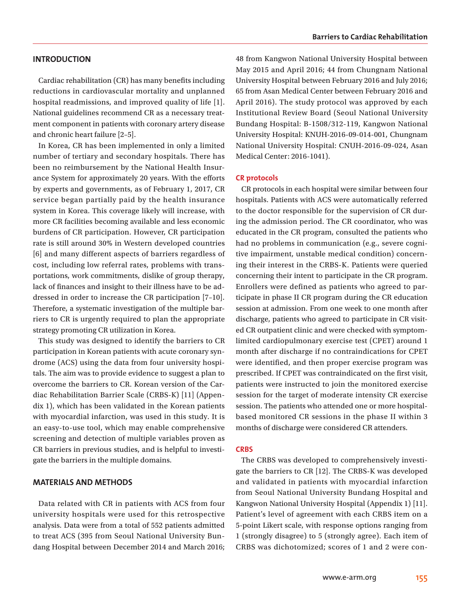#### **INTRODUCTION**

Cardiac rehabilitation (CR) has many benefits including reductions in cardiovascular mortality and unplanned hospital readmissions, and improved quality of life [1]. National guidelines recommend CR as a necessary treatment component in patients with coronary artery disease and chronic heart failure [2–5].

In Korea, CR has been implemented in only a limited number of tertiary and secondary hospitals. There has been no reimbursement by the National Health Insurance System for approximately 20 years. With the efforts by experts and governments, as of February 1, 2017, CR service began partially paid by the health insurance system in Korea. This coverage likely will increase, with more CR facilities becoming available and less economic burdens of CR participation. However, CR participation rate is still around 30% in Western developed countries [6] and many different aspects of barriers regardless of cost, including low referral rates, problems with transportations, work commitments, dislike of group therapy, lack of finances and insight to their illness have to be addressed in order to increase the CR participation [7–10]. Therefore, a systematic investigation of the multiple barriers to CR is urgently required to plan the appropriate strategy promoting CR utilization in Korea.

This study was designed to identify the barriers to CR participation in Korean patients with acute coronary syndrome (ACS) using the data from four university hospitals. The aim was to provide evidence to suggest a plan to overcome the barriers to CR. Korean version of the Cardiac Rehabilitation Barrier Scale (CRBS-K) [11] (Appendix 1), which has been validated in the Korean patients with myocardial infarction, was used in this study. It is an easy-to-use tool, which may enable comprehensive screening and detection of multiple variables proven as CR barriers in previous studies, and is helpful to investigate the barriers in the multiple domains.

#### **MATERIALS AND METHODS**

Data related with CR in patients with ACS from four university hospitals were used for this retrospective analysis. Data were from a total of 552 patients admitted to treat ACS (395 from Seoul National University Bundang Hospital between December 2014 and March 2016;

48 from Kangwon National University Hospital between May 2015 and April 2016; 44 from Chungnam National University Hospital between February 2016 and July 2016; 65 from Asan Medical Center between February 2016 and April 2016). The study protocol was approved by each Institutional Review Board (Seoul National University Bundang Hospital: B-1508/312-119, Kangwon National University Hospital: KNUH-2016-09-014-001, Chungnam National University Hospital: CNUH-2016-09-024, Asan Medical Center: 2016-1041).

#### **CR protocols**

CR protocols in each hospital were similar between four hospitals. Patients with ACS were automatically referred to the doctor responsible for the supervision of CR during the admission period. The CR coordinator, who was educated in the CR program, consulted the patients who had no problems in communication (e.g., severe cognitive impairment, unstable medical condition) concerning their interest in the CRBS-K. Patients were queried concerning their intent to participate in the CR program. Enrollers were defined as patients who agreed to participate in phase II CR program during the CR education session at admission. From one week to one month after discharge, patients who agreed to participate in CR visited CR outpatient clinic and were checked with symptomlimited cardiopulmonary exercise test (CPET) around 1 month after discharge if no contraindications for CPET were identified, and then proper exercise program was prescribed. If CPET was contraindicated on the first visit, patients were instructed to join the monitored exercise session for the target of moderate intensity CR exercise session. The patients who attended one or more hospitalbased monitored CR sessions in the phase II within 3 months of discharge were considered CR attenders.

#### **CRBS**

The CRBS was developed to comprehensively investigate the barriers to CR [12]. The CRBS-K was developed and validated in patients with myocardial infarction from Seoul National University Bundang Hospital and Kangwon National University Hospital (Appendix 1) [11]. Patient's level of agreement with each CRBS item on a 5-point Likert scale, with response options ranging from 1 (strongly disagree) to 5 (strongly agree). Each item of CRBS was dichotomized; scores of 1 and 2 were con-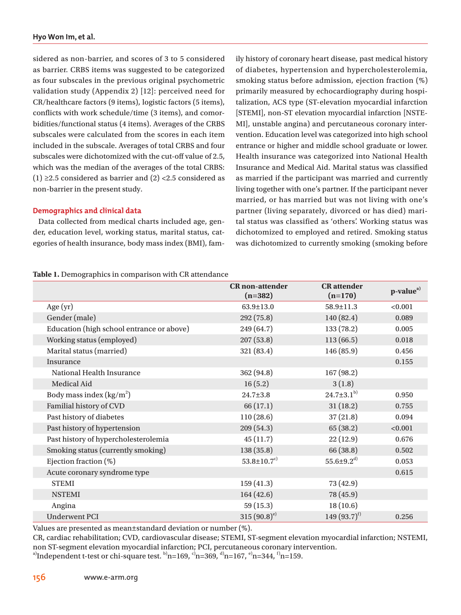sidered as non-barrier, and scores of 3 to 5 considered as barrier. CRBS items was suggested to be categorized as four subscales in the previous original psychometric validation study (Appendix 2) [12]: perceived need for CR/healthcare factors (9 items), logistic factors (5 items), conflicts with work schedule/time (3 items), and comorbidities/functional status (4 items). Averages of the CRBS subscales were calculated from the scores in each item included in the subscale. Averages of total CRBS and four subscales were dichotomized with the cut-off value of 2.5, which was the median of the averages of the total CRBS: (1) ≥2.5 considered as barrier and (2) <2.5 considered as non-barrier in the present study.

# **Demographics and clinical data**

Data collected from medical charts included age, gender, education level, working status, marital status, categories of health insurance, body mass index (BMI), family history of coronary heart disease, past medical history of diabetes, hypertension and hypercholesterolemia, smoking status before admission, ejection fraction (%) primarily measured by echocardiography during hospitalization, ACS type (ST-elevation myocardial infarction [STEMI], non-ST elevation myocardial infarction [NSTE-MI], unstable angina) and percutaneous coronary intervention. Education level was categorized into high school entrance or higher and middle school graduate or lower. Health insurance was categorized into National Health Insurance and Medical Aid. Marital status was classified as married if the participant was married and currently living together with one's partner. If the participant never married, or has married but was not living with one's partner (living separately, divorced or has died) marital status was classified as 'others'. Working status was dichotomized to employed and retired. Smoking status was dichotomized to currently smoking (smoking before

|  | Table 1. Demographics in comparison with CR attendance |
|--|--------------------------------------------------------|
|--|--------------------------------------------------------|

|                                           | <b>CR</b> non-attender<br>$(n=382)$ | <b>CR</b> attender<br>$(n=170)$ | p-value <sup>a)</sup> |
|-------------------------------------------|-------------------------------------|---------------------------------|-----------------------|
| Age $(yr)$                                | $63.9 \pm 13.0$                     | $58.9 \pm 11.3$                 | < 0.001               |
| Gender (male)                             | 292(75.8)                           | 140 (82.4)                      | 0.089                 |
| Education (high school entrance or above) | 249 (64.7)                          | 133 (78.2)                      | 0.005                 |
| Working status (employed)                 | 207(53.8)                           | 113(66.5)                       | 0.018                 |
| Marital status (married)                  | 321 (83.4)                          | 146 (85.9)                      | 0.456                 |
| Insurance                                 |                                     |                                 | 0.155                 |
| National Health Insurance                 | 362 (94.8)                          | 167 (98.2)                      |                       |
| Medical Aid                               | 16(5.2)                             | 3(1.8)                          |                       |
| Body mass index $(kg/m2)$                 | $24.7 \pm 3.8$                      | $24.7 \pm 3.1^{b}$              | 0.950                 |
| Familial history of CVD                   | 66 (17.1)                           | 31(18.2)                        | 0.755                 |
| Past history of diabetes                  | 110(28.6)                           | 37(21.8)                        | 0.094                 |
| Past history of hypertension              | 209 (54.3)                          | 65 (38.2)                       | < 0.001               |
| Past history of hypercholesterolemia      | 45(11.7)                            | 22(12.9)                        | 0.676                 |
| Smoking status (currently smoking)        | 138(35.8)                           | 66 (38.8)                       | 0.502                 |
| Ejection fraction $(\%)$                  | 53.8 $\pm$ 10.7 <sup>c)</sup>       | $55.6{\pm}9.2^{d)}$             | 0.053                 |
| Acute coronary syndrome type              |                                     |                                 | 0.615                 |
| <b>STEMI</b>                              | 159(41.3)                           | 73 (42.9)                       |                       |
| <b>NSTEMI</b>                             | 164(42.6)                           | 78 (45.9)                       |                       |
| Angina                                    | 59(15.3)                            | 18(10.6)                        |                       |
| <b>Underwent PCI</b>                      | $315(90.8)^{e}$                     | 149 $(93.7)$ <sup>f)</sup>      | 0.256                 |

Values are presented as mean±standard deviation or number (%).

CR, cardiac rehabilitation; CVD, cardiovascular disease; STEMI, ST-segment elevation myocardial infarction; NSTEMI, non ST-segment elevation myocardial infarction; PCI, percutaneous coronary intervention.

<sup>a)</sup>Independent t-test or chi-square test.  $b$ <sup>h</sup>n=169, <sup>c</sup><sup>h</sup>n=369, <sup>d</sup><sup>h</sup>n=167, <sup>e</sup><sub>n</sub>=344, <sup>f</sup><sub>n=159</sub>.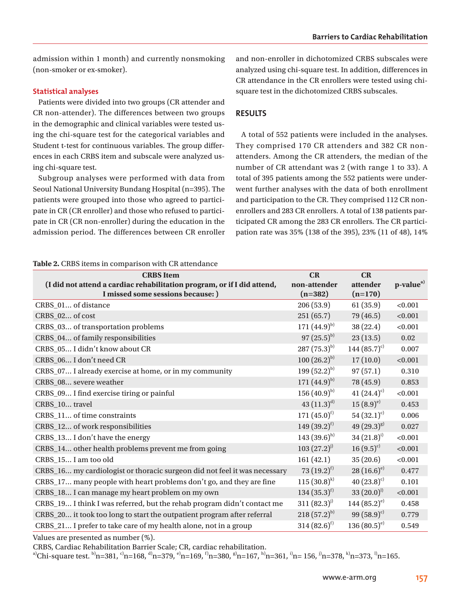admission within 1 month) and currently nonsmoking (non-smoker or ex-smoker).

## **Statistical analyses**

Patients were divided into two groups (CR attender and CR non-attender). The differences between two groups in the demographic and clinical variables were tested using the chi-square test for the categorical variables and Student t-test for continuous variables. The group differences in each CRBS item and subscale were analyzed using chi-square test.

Subgroup analyses were performed with data from Seoul National University Bundang Hospital (n=395). The patients were grouped into those who agreed to participate in CR (CR enroller) and those who refused to participate in CR (CR non-enroller) during the education in the admission period. The differences between CR enroller

and non-enroller in dichotomized CRBS subscales were analyzed using chi-square test. In addition, differences in CR attendance in the CR enrollers were tested using chisquare test in the dichotomized CRBS subscales.

# **RESULTS**

A total of 552 patients were included in the analyses. They comprised 170 CR attenders and 382 CR nonattenders. Among the CR attenders, the median of the number of CR attendant was 2 (with range 1 to 33). A total of 395 patients among the 552 patients were underwent further analyses with the data of both enrollment and participation to the CR. They comprised 112 CR nonenrollers and 283 CR enrollers. A total of 138 patients participated CR among the 283 CR enrollers. The CR participation rate was 35% (138 of the 395), 23% (11 of 48), 14%

#### **Table 2.** CRBS items in comparison with CR attendance

| <b>AWDIC IN</b> CHOO RUMO MI COMPUTIOUR WHEN CREATEDIRAM                  |                            |                  |                       |
|---------------------------------------------------------------------------|----------------------------|------------------|-----------------------|
| <b>CRBS</b> Item                                                          | CR                         | CR               |                       |
| (I did not attend a cardiac rehabilitation program, or if I did attend,   | non-attender               | attender         | p-value <sup>a)</sup> |
| I missed some sessions because: )                                         | $(n=382)$                  | $(n=170)$        |                       |
| CRBS_01 of distance                                                       | 206 (53.9)                 | 61(35.9)         | < 0.001               |
| CRBS_02 of cost                                                           | 251(65.7)                  | 79 (46.5)        | < 0.001               |
| CRBS_03 of transportation problems                                        | 171 $(44.9)^{b}$           | 38 (22.4)        | < 0.001               |
| CRBS_04 of family responsibilities                                        | $97(25.5)^{b}$             | 23(13.5)         | 0.02                  |
| CRBS_05 I didn't know about CR                                            | $287(75.3)^{b}$            | 144 $(85.7)^{c}$ | 0.007                 |
| CRBS_06 I don't need CR                                                   | $100(26.2)^{b}$            | 17(10.0)         | < 0.001               |
| CRBS_07 I already exercise at home, or in my community                    | 199 $(52.2)^{b}$           | 97(57.1)         | 0.310                 |
| CRBS_08 severe weather                                                    | 171 $(44.9)^{b}$           | 78 (45.9)        | 0.853                 |
| CRBS_09 I find exercise tiring or painful                                 | $156(40.9)^{b}$            | 41 $(24.4)^{c}$  | < 0.001               |
| CRBS_10 travel                                                            | 43 $(11.3)^{d}$            | $15(8.9)^{e}$    | 0.453                 |
| CRBS_11 of time constraints                                               | 171 $(45.0)^{f}$           | 54 $(32.1)^{c}$  | 0.006                 |
| CRBS_12 of work responsibilities                                          | 149 $(39.2)^{f}$           | 49 $(29.3)^{g}$  | 0.027                 |
| CRBS_13 I don't have the energy                                           | 143 $(39.6)^{h}$           | $34 (21.8)^{i}$  | < 0.001               |
| CRBS_14 other health problems prevent me from going                       | $103 (27.2)^{j}$           | $16(9.5)^{c}$    | < 0.001               |
| CRBS_15 I am too old                                                      | 161(42.1)                  | 35(20.6)         | < 0.001               |
| CRBS_16 my cardiologist or thoracic surgeon did not feel it was necessary | $73 (19.2)^{f}$            | $28(16.6)^{e}$   | 0.477                 |
| CRBS_17 many people with heart problems don't go, and they are fine       | $115(30.8)^{k}$            | 40 $(23.8)^{c}$  | 0.101                 |
| CRBS_18 I can manage my heart problem on my own                           | 134 $(35.3)$ <sup>f)</sup> | $33(20.0)^{1}$   | < 0.001               |
| CRBS_19 I think I was referred, but the rehab program didn't contact me   | $311 (82.3)^{j}$           | 144 $(85.2)^{e}$ | 0.458                 |
| CRBS_20 it took too long to start the outpatient program after referral   | $218(57.2)^{b}$            | 99 $(58.9)^{c}$  | 0.779                 |
| CRBS_21 I prefer to take care of my health alone, not in a group          | $314 (82.6)^{f}$           | 136 $(80.5)^{e}$ | 0.549                 |

Values are presented as number (%).

CRBS, Cardiac Rehabilitation Barrier Scale; CR, cardiac rehabilitation.

a)Chi-square test.  $\frac{b}{n}=381$ ,  $\frac{c}{n}=168$ ,  $\frac{d}{n}=379$ ,  $\frac{e}{n}=169$ ,  $\frac{f}{n}=380$ ,  $\frac{g}{n}=167$ ,  $\frac{h}{n}=361$ ,  $\frac{i}{n}=156$ ,  $\frac{i}{n}=378$ ,  $\frac{k}{n}=373$ ,  $\frac{i}{n}=165$ .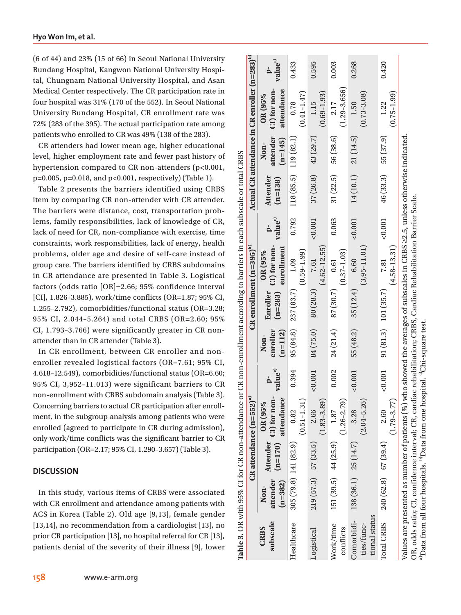(6 of 44) and 23% (15 of 66) in Seoul National University Bundang Hospital, Kangwon National University Hospital, Chungnam National University Hospital, and Asan Medical Center respectively. The CR participation rate in four hospital was 31% (170 of the 552). In Seoul National University Bundang Hospital, CR enrollment rate was 72% (283 of the 395). The actual participation rate among patients who enrolled to CR was 49% (138 of the 283).

CR attenders had lower mean age, higher educational level, higher employment rate and fewer past history of hypertension compared to CR non-attenders (p<0.001, p=0.005, p=0.018, and p<0.001, respectively) (Table 1).

Table 2 presents the barriers identified using CRBS item by comparing CR non-attender with CR attender. The barriers were distance, cost, transportation problems, family responsibilities, lack of knowledge of CR, lack of need for CR, non-compliance with exercise, time constraints, work responsibilities, lack of energy, health problems, older age and desire of self-care instead of group care. The barriers identified by CRBS subdomains in CR attendance are presented in Table 3. Logistical factors (odds ratio [OR]=2.66; 95% confidence interval [CI], 1.826–3.885), work/time conflicts (OR=1.87; 95% CI, 1.255–2.792), comorbidities/functional status (OR=3.28; 95% CI, 2.044–5.264) and total CRBS (OR=2.60; 95% CI, 1.793–3.766) were significantly greater in CR nonattender than in CR attender (Table 3).

In CR enrollment, between CR enroller and nonenroller revealed logistical factors (OR=7.61; 95% CI, 4.618–12.549), comorbidities/functional status (OR=6.60; 95% CI, 3,952–11.013) were significant barriers to CR non-enrollment with CRBS subdomain analysis (Table 3). Concerning barriers to actual CR participation after enrollment, in the subgroup analysis among patients who were enrolled (agreed to participate in CR during admission), only work/time conflicts was the significant barrier to CR participation (OR=2.17; 95% CI, 1.290–3.657) (Table 3).

# **DISCUSSION**

In this study, various items of CRBS were associated with CR enrollment and attendance among patients with ACS in Korea (Table 2). Old age [9,13], female gender [13,14], no recommendation from a cardiologist [13], no prior CR participation [13], no hospital referral for CR [13], patients denial of the severity of their illness [9], lower

**158 www.e-arm.org**

|                                           |                               |                          | CR attendance $(n=552)^{n}$                                                                                                                                                                                                                                                                                                                                          |                     |                               |                         | $CR$ enrollment $(n=395)^{b}$          |                                                |                              |                               | Actual CR attendance in CR enroller (n=283) <sup>b)</sup> |                     |
|-------------------------------------------|-------------------------------|--------------------------|----------------------------------------------------------------------------------------------------------------------------------------------------------------------------------------------------------------------------------------------------------------------------------------------------------------------------------------------------------------------|---------------------|-------------------------------|-------------------------|----------------------------------------|------------------------------------------------|------------------------------|-------------------------------|-----------------------------------------------------------|---------------------|
| subscale<br><b>CRBS</b>                   | attender<br>$(n=382)$<br>Non- | Attender<br>$(n=170)$    | CI) for non-<br>attendance<br>OR (95%)                                                                                                                                                                                                                                                                                                                               | value <sup>c)</sup> | enroller<br>$(n=112)$<br>Non- | Enroller<br>$(n=283)$   | CI) for non-<br>enrollment<br>OR (95%) | $rac{\mathbf{p}}{\mathbf{value}^{\mathbf{c}}}$ | <b>Attender</b><br>$(n=138)$ | attender<br>$(n=145)$<br>Non- | CI) for non-<br>attendance<br>OR(95%                      | value <sup>c)</sup> |
| Healthcare                                |                               | $305(79.8)$ 141 $(82.9)$ | $(0.51 - 1.31)$<br>0.82                                                                                                                                                                                                                                                                                                                                              | 0.394               |                               | $95(84.8)$ 237 $(83.7)$ | $(0.59 - 1.99)$<br>1.09                | 0.792                                          | $118(85.5)$ 119 (82.1)       |                               | $(0.41 - 1.47)$<br>0.78                                   | 0.433               |
| Logistical                                |                               | $219(57.3)$ $57(33.5)$   | $(1.83 - 3.89)$<br>2.66                                                                                                                                                                                                                                                                                                                                              | < 0.001             | 84 (75.0)                     | 80(28.3)                | $(4.62 - 12.55)$<br>7.61               | < 0.001                                        |                              | $37(26.8)$ 43 (29.7)          | $(0.69 - 1.93)$<br>1.15                                   | 0.595               |
| Work/time<br>conflicts                    |                               | $151(39.5)$ 44 (25.9)    | $(1.26 - 2.79)$<br>1.87                                                                                                                                                                                                                                                                                                                                              | 0.002               | 24(21.4)                      | 87 (30.7)               | $(0.37 - 1.03)$<br>0.61                | 0.063                                          | 31(22.5)                     | 56 (38.6)                     | $(1.29 - 3.656)$<br>2.17                                  | 0.003               |
| tional status<br>Comorbidi-<br>ties/func- |                               | $138(36.1)$ 25 (14.7)    | $(2.04 - 5.26)$<br>3.28                                                                                                                                                                                                                                                                                                                                              | 0.001               | 55 (48.2)                     | 35(12.4)                | $(3,95 - 11.01)$<br>6.60               | < 0.001                                        |                              | $14(10.1)$ 21 $(14.5)$        | $(0.73 - 3.08)$<br>1.50                                   | 0.268               |
| <b>Total CRBS</b>                         |                               | $240(62.8)$ 67 (39.4)    | $(1.79 - 3.77)$<br>2.60                                                                                                                                                                                                                                                                                                                                              | 0.001               |                               | 91(81.3) 101(35.7)      | $(4.58 - 13.31)$<br>7.81               | 0.001                                          |                              | $46(33.3)$ 55 $(37.9)$        | $(0.75 - 1.99)$<br>1.22                                   | 0.420               |
|                                           |                               |                          | Values are presented as number of patients (%) who showed the averages of subscales in CRBS 22.5, unless otherwise indicated<br>OR, odds ratio; CI, confidence interval; CR, cardiac rehabilitation; CRBS, Cardiac Rehabilitation Barrier Scale.<br><sup>a)</sup> Data from all four hospitals. <sup>b</sup> )Data from one hospital. <sup>c/</sup> Chi-square test. |                     |                               |                         |                                        |                                                |                              |                               |                                                           |                     |

ż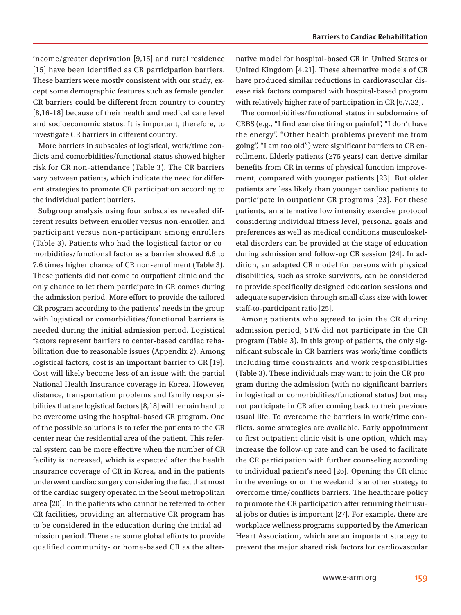income/greater deprivation [9,15] and rural residence [15] have been identified as CR participation barriers. These barriers were mostly consistent with our study, except some demographic features such as female gender. CR barriers could be different from country to country [8,16–18] because of their health and medical care level and socioeconomic status. It is important, therefore, to investigate CR barriers in different country.

More barriers in subscales of logistical, work/time conflicts and comorbidities/functional status showed higher risk for CR non-attendance (Table 3). The CR barriers vary between patients, which indicate the need for different strategies to promote CR participation according to the individual patient barriers.

Subgroup analysis using four subscales revealed different results between enroller versus non-enroller, and participant versus non-participant among enrollers (Table 3). Patients who had the logistical factor or comorbidities/functional factor as a barrier showed 6.6 to 7.6 times higher chance of CR non-enrollment (Table 3). These patients did not come to outpatient clinic and the only chance to let them participate in CR comes during the admission period. More effort to provide the tailored CR program according to the patients' needs in the group with logistical or comorbidities/functional barriers is needed during the initial admission period. Logistical factors represent barriers to center-based cardiac rehabilitation due to reasonable issues (Appendix 2). Among logistical factors, cost is an important barrier to CR [19]. Cost will likely become less of an issue with the partial National Health Insurance coverage in Korea. However, distance, transportation problems and family responsibilities that are logistical factors [8,18] will remain hard to be overcome using the hospital-based CR program. One of the possible solutions is to refer the patients to the CR center near the residential area of the patient. This referral system can be more effective when the number of CR facility is increased, which is expected after the health insurance coverage of CR in Korea, and in the patients underwent cardiac surgery considering the fact that most of the cardiac surgery operated in the Seoul metropolitan area [20]. In the patients who cannot be referred to other CR facilities, providing an alternative CR program has to be considered in the education during the initial admission period. There are some global efforts to provide qualified community- or home-based CR as the alternative model for hospital-based CR in United States or United Kingdom [4,21]. These alternative models of CR have produced similar reductions in cardiovascular disease risk factors compared with hospital-based program with relatively higher rate of participation in CR [6,7,22].

The comorbidities/functional status in subdomains of CRBS (e.g., "I find exercise tiring or painful", "I don't have the energy", "Other health problems prevent me from going", "I am too old") were significant barriers to CR enrollment. Elderly patients (≥75 years) can derive similar benefits from CR in terms of physical function improvement, compared with younger patients [23]. But older patients are less likely than younger cardiac patients to participate in outpatient CR programs [23]. For these patients, an alternative low intensity exercise protocol considering individual fitness level, personal goals and preferences as well as medical conditions musculoskeletal disorders can be provided at the stage of education during admission and follow-up CR session [24]. In addition, an adapted CR model for persons with physical disabilities, such as stroke survivors, can be considered to provide specifically designed education sessions and adequate supervision through small class size with lower staff-to-participant ratio [25].

Among patients who agreed to join the CR during admission period, 51% did not participate in the CR program (Table 3). In this group of patients, the only significant subscale in CR barriers was work/time conflicts including time constraints and work responsibilities (Table 3). These individuals may want to join the CR program during the admission (with no significant barriers in logistical or comorbidities/functional status) but may not participate in CR after coming back to their previous usual life. To overcome the barriers in work/time conflicts, some strategies are available. Early appointment to first outpatient clinic visit is one option, which may increase the follow-up rate and can be used to facilitate the CR participation with further counseling according to individual patient's need [26]. Opening the CR clinic in the evenings or on the weekend is another strategy to overcome time/conflicts barriers. The healthcare policy to promote the CR participation after returning their usual jobs or duties is important [27]. For example, there are workplace wellness programs supported by the American Heart Association, which are an important strategy to prevent the major shared risk factors for cardiovascular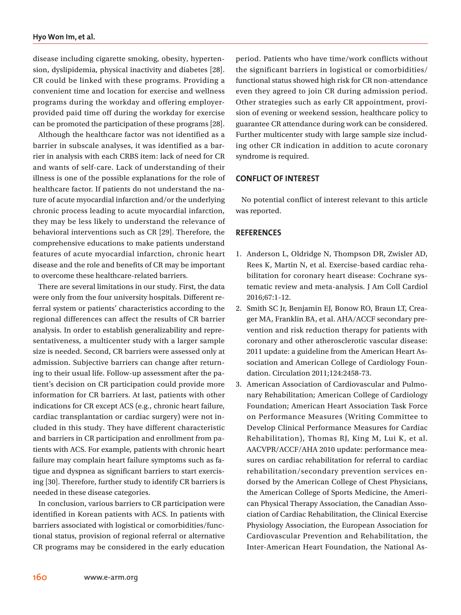disease including cigarette smoking, obesity, hypertension, dyslipidemia, physical inactivity and diabetes [28]. CR could be linked with these programs. Providing a convenient time and location for exercise and wellness programs during the workday and offering employerprovided paid time off during the workday for exercise can be promoted the participation of these programs [28].

Although the healthcare factor was not identified as a barrier in subscale analyses, it was identified as a barrier in analysis with each CRBS item: lack of need for CR and wants of self-care. Lack of understanding of their illness is one of the possible explanations for the role of healthcare factor. If patients do not understand the nature of acute myocardial infarction and/or the underlying chronic process leading to acute myocardial infarction, they may be less likely to understand the relevance of behavioral interventions such as CR [29]. Therefore, the comprehensive educations to make patients understand features of acute myocardial infarction, chronic heart disease and the role and benefits of CR may be important to overcome these healthcare-related barriers.

There are several limitations in our study. First, the data were only from the four university hospitals. Different referral system or patients' characteristics according to the regional differences can affect the results of CR barrier analysis. In order to establish generalizability and representativeness, a multicenter study with a larger sample size is needed. Second, CR barriers were assessed only at admission. Subjective barriers can change after returning to their usual life. Follow-up assessment after the patient's decision on CR participation could provide more information for CR barriers. At last, patients with other indications for CR except ACS (e.g., chronic heart failure, cardiac transplantation or cardiac surgery) were not included in this study. They have different characteristic and barriers in CR participation and enrollment from patients with ACS. For example, patients with chronic heart failure may complain heart failure symptoms such as fatigue and dyspnea as significant barriers to start exercising [30]. Therefore, further study to identify CR barriers is needed in these disease categories.

In conclusion, various barriers to CR participation were identified in Korean patients with ACS. In patients with barriers associated with logistical or comorbidities/functional status, provision of regional referral or alternative CR programs may be considered in the early education period. Patients who have time/work conflicts without the significant barriers in logistical or comorbidities/ functional status showed high risk for CR non-attendance even they agreed to join CR during admission period. Other strategies such as early CR appointment, provision of evening or weekend session, healthcare policy to guarantee CR attendance during work can be considered. Further multicenter study with large sample size including other CR indication in addition to acute coronary syndrome is required.

### **CONFLICT OF INTEREST**

No potential conflict of interest relevant to this article was reported.

## **REFERENCES**

- 1. Anderson L, Oldridge N, Thompson DR, Zwisler AD, Rees K, Martin N, et al. Exercise-based cardiac rehabilitation for coronary heart disease: Cochrane systematic review and meta-analysis. J Am Coll Cardiol 2016;67:1-12.
- 2. Smith SC Jr, Benjamin EJ, Bonow RO, Braun LT, Creager MA, Franklin BA, et al. AHA/ACCF secondary prevention and risk reduction therapy for patients with coronary and other atherosclerotic vascular disease: 2011 update: a guideline from the American Heart Association and American College of Cardiology Foundation. Circulation 2011;124:2458-73.
- 3. American Association of Cardiovascular and Pulmonary Rehabilitation; American College of Cardiology Foundation; American Heart Association Task Force on Performance Measures (Writing Committee to Develop Clinical Performance Measures for Cardiac Rehabilitation), Thomas RJ, King M, Lui K, et al. AACVPR/ACCF/AHA 2010 update: performance measures on cardiac rehabilitation for referral to cardiac rehabilitation/secondary prevention services endorsed by the American College of Chest Physicians, the American College of Sports Medicine, the American Physical Therapy Association, the Canadian Association of Cardiac Rehabilitation, the Clinical Exercise Physiology Association, the European Association for Cardiovascular Prevention and Rehabilitation, the Inter-American Heart Foundation, the National As-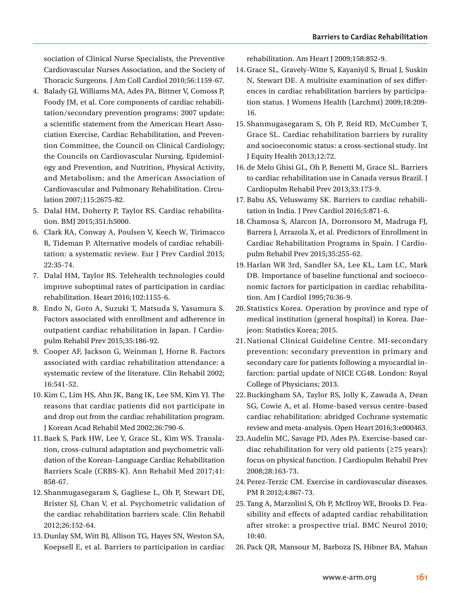sociation of Clinical Nurse Specialists, the Preventive Cardiovascular Nurses Association, and the Society of Thoracic Surgeons. J Am Coll Cardiol 2010;56:1159-67.

- 4. Balady GJ, Williams MA, Ades PA, Bittner V, Comoss P, Foody JM, et al. Core components of cardiac rehabilitation/secondary prevention programs: 2007 update: a scientific statement from the American Heart Association Exercise, Cardiac Rehabilitation, and Prevention Committee, the Council on Clinical Cardiology; the Councils on Cardiovascular Nursing, Epidemiology and Prevention, and Nutrition, Physical Activity, and Metabolism; and the American Association of Cardiovascular and Pulmonary Rehabilitation. Circulation 2007;115:2675-82.
- 5. Dalal HM, Doherty P, Taylor RS. Cardiac rehabilitation. BMJ 2015;351:h5000.
- 6. Clark RA, Conway A, Poulsen V, Keech W, Tirimacco R, Tideman P. Alternative models of cardiac rehabilitation: a systematic review. Eur J Prev Cardiol 2015; 22:35-74.
- 7. Dalal HM, Taylor RS. Telehealth technologies could improve suboptimal rates of participation in cardiac rehabilitation. Heart 2016;102:1155-6.
- 8. Endo N, Goto A, Suzuki T, Matsuda S, Yasumura S. Factors associated with enrollment and adherence in outpatient cardiac rehabilitation in Japan. J Cardiopulm Rehabil Prev 2015;35:186-92.
- 9. Cooper AF, Jackson G, Weinman J, Horne R. Factors associated with cardiac rehabilitation attendance: a systematic review of the literature. Clin Rehabil 2002; 16:541-52.
- 10.Kim C, Lim HS, Ahn JK, Bang IK, Lee SM, Kim YJ. The reasons that cardiac patients did not participate in and drop out from the cardiac rehabilitation program. J Korean Acad Rehabil Med 2002;26:790-6.
- 11.Baek S, Park HW, Lee Y, Grace SL, Kim WS. Translation, cross-cultural adaptation and psychometric validation of the Korean-Language Cardiac Rehabilitation Barriers Scale (CRBS-K). Ann Rehabil Med 2017;41: 858-67.
- 12. Shanmugasegaram S, Gagliese L, Oh P, Stewart DE, Brister SJ, Chan V, et al. Psychometric validation of the cardiac rehabilitation barriers scale. Clin Rehabil 2012;26:152-64.
- 13.Dunlay SM, Witt BJ, Allison TG, Hayes SN, Weston SA, Koepsell E, et al. Barriers to participation in cardiac

rehabilitation. Am Heart J 2009;158:852-9.

- 14.Grace SL, Gravely-Witte S, Kayaniyil S, Brual J, Suskin N, Stewart DE. A multisite examination of sex differences in cardiac rehabilitation barriers by participation status. J Womens Health (Larchmt) 2009;18:209- 16.
- 15. Shanmugasegaram S, Oh P, Reid RD, McCumber T, Grace SL. Cardiac rehabilitation barriers by rurality and socioeconomic status: a cross-sectional study. Int J Equity Health 2013;12:72.
- 16.de Melo Ghisi GL, Oh P, Benetti M, Grace SL. Barriers to cardiac rehabilitation use in Canada versus Brazil. J Cardiopulm Rehabil Prev 2013;33:173-9.
- 17.Babu AS, Veluswamy SK. Barriers to cardiac rehabilitation in India. J Prev Cardiol 2016;5:871-6.
- 18.Chamosa S, Alarcon JA, Dorronsoro M, Madruga FJ, Barrera J, Arrazola X, et al. Predictors of Enrollment in Cardiac Rehabilitation Programs in Spain. J Cardiopulm Rehabil Prev 2015;35:255-62.
- 19.Harlan WR 3rd, Sandler SA, Lee KL, Lam LC, Mark DB. Importance of baseline functional and socioeconomic factors for participation in cardiac rehabilitation. Am J Cardiol 1995;76:36-9.
- 20. Statistics Korea. Operation by province and type of medical institution (general hospital) in Korea. Daejeon: Statistics Korea; 2015.
- 21.National Clinical Guideline Centre. MI-secondary prevention: secondary prevention in primary and secondary care for patients following a myocardial infarction: partial update of NICE CG48. London: Royal College of Physicians; 2013.
- 22.Buckingham SA, Taylor RS, Jolly K, Zawada A, Dean SG, Cowie A, et al. Home-based versus centre-based cardiac rehabilitation: abridged Cochrane systematic review and meta-analysis. Open Heart 2016;3:e000463.
- 23.Audelin MC, Savage PD, Ades PA. Exercise-based cardiac rehabilitation for very old patients (≥75 years): focus on physical function. J Cardiopulm Rehabil Prev 2008;28:163-73.
- 24.Perez-Terzic CM. Exercise in cardiovascular diseases. PM R 2012;4:867-73.
- 25.Tang A, Marzolini S, Oh P, McIlroy WE, Brooks D. Feasibility and effects of adapted cardiac rehabilitation after stroke: a prospective trial. BMC Neurol 2010; 10:40.
- 26.Pack QR, Mansour M, Barboza JS, Hibner BA, Mahan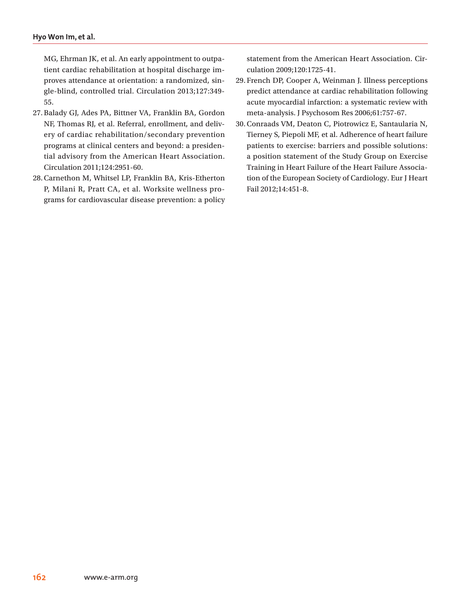MG, Ehrman JK, et al. An early appointment to outpatient cardiac rehabilitation at hospital discharge improves attendance at orientation: a randomized, single-blind, controlled trial. Circulation 2013;127:349- 55.

- 27.Balady GJ, Ades PA, Bittner VA, Franklin BA, Gordon NF, Thomas RJ, et al. Referral, enrollment, and delivery of cardiac rehabilitation/secondary prevention programs at clinical centers and beyond: a presidential advisory from the American Heart Association. Circulation 2011;124:2951-60.
- 28.Carnethon M, Whitsel LP, Franklin BA, Kris-Etherton P, Milani R, Pratt CA, et al. Worksite wellness programs for cardiovascular disease prevention: a policy

statement from the American Heart Association. Circulation 2009;120:1725-41.

- 29. French DP, Cooper A, Weinman J. Illness perceptions predict attendance at cardiac rehabilitation following acute myocardial infarction: a systematic review with meta-analysis. J Psychosom Res 2006;61:757-67.
- 30.Conraads VM, Deaton C, Piotrowicz E, Santaularia N, Tierney S, Piepoli MF, et al. Adherence of heart failure patients to exercise: barriers and possible solutions: a position statement of the Study Group on Exercise Training in Heart Failure of the Heart Failure Association of the European Society of Cardiology. Eur J Heart Fail 2012;14:451-8.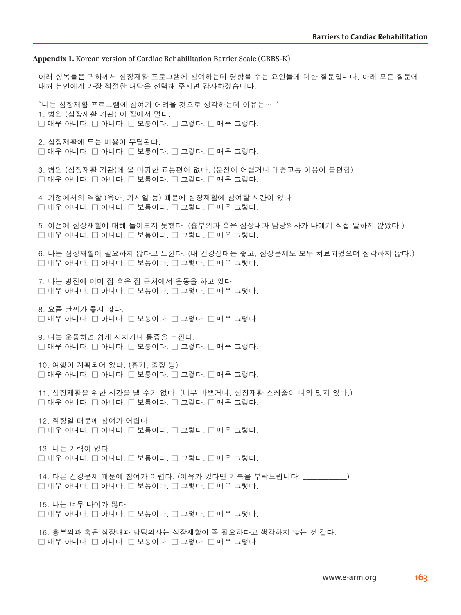#### **Appendix 1.** Korean version of Cardiac Rehabilitation Barrier Scale (CRBS-K)

아래 항목들은 귀하께서 심장재활 프로그램에 참여하는데 영향을 주는 요인들에 대한 질문입니다. 아래 모든 질문에 대해 본인에게 가장 적절한 대답을 선택해 주시면 감사하겠습니다.

"나는 심장재활 프로그램에 참여가 어려울 것으로 생각하는데 이유는…." 1. 병원 (심장재활 기관) 이 집에서 멀다. □ 매우 아니다. □ 아니다. □ 보통이다. □ 그렇다. □ 매우 그렇다.

2. 심장재활에 드는 비용이 부담된다. □ 매우 아니다. □ 아니다. □ 보통이다. □ 그렇다. □ 매우 그렇다.

3. 병원 (심장재활 기관)에 올 마땅한 교통편이 없다. (운전이 어렵거나 대중교통 이용이 불편함)  $\Box$  매우 아니다.  $\Box$  아니다.  $\Box$  보통이다.  $\Box$  그렇다.  $\Box$  매우 그렇다.

4. 가정에서의 역할 (육아, 가사일 등) 때문에 심장재활에 참여할 시간이 없다. □ 매우 아니다. □ 아니다. □ 보통이다. □ 그렇다. □ 매우 그렇다.

5. 이전에 심장재활에 대해 들어보지 못했다. (흉부외과 혹은 심장내과 담당의사가 나에게 직접 말하지 않았다.)  $\Box$  매우 아니다.  $\Box$  아니다.  $\Box$  보통이다.  $\Box$  그렇다.  $\Box$  매우 그렇다.

6. 나는 심장재활이 필요하지 않다고 느낀다. (내 건강상태는 좋고, 심장문제도 모두 치료되었으며 심각하지 않다.) □ 매우 아니다. □ 아니다. □ 보통이다. □ 그렇다. □ 매우 그렇다.

7. 나는 병전에 이미 집 혹은 집 근처에서 운동을 하고 있다. □ 매우 아니다. □ 아니다. □ 보통이다. □ 그렇다. □ 매우 그렇다.

8. 요즘 날씨가 좋지 않다. □ 매우 아니다. □ 아니다. □ 보통이다. □ 그렇다. □ 매우 그렇다.

9. 나는 운동하면 쉽게 지치거나 통증을 느낀다.  $\Box$  매우 아니다.  $\Box$  머니다.  $\Box$  보통이다.  $\Box$  그렇다. 그래우 그렇다.

10. 여행이 계획되어 있다. (휴가, 출장 등)  $\Box$  매우 아니다.  $\Box$  아니다.  $\Box$  보통이다.  $\Box$  그렇다.  $\Box$  매우 그렇다.

11. 심장재활을 위한 시간을 낼 수가 없다. (너무 바쁘거나, 심장재활 스케줄이 나와 맞지 않다.)  $\square$  매우 아니다.  $\square$  아니다.  $\square$  보통이다.  $\square$  그렇다.  $\square$  매우 그렇다.

12. 직장일 때문에 참여가 어렵다. □ 매우 아니다. □ 아니다. □ 보통이다. □ 그렇다. □ 매우 그렇다.

13. 나는 기력이 없다.  $\Box$  매우 아니다.  $\Box$  아니다.  $\Box$  보통이다.  $\Box$  그렇다.  $\Box$  매우 그렇다.

14. 다른 건강문제 때문에 참여가 어렵다. (이유가 있다면 기록을 부탁드립니다: \_\_\_\_\_\_\_\_\_\_\_\_) □ 매우 아니다. □ 아니다. □ 보통이다. □ 그렇다. □ 매우 그렇다.

15. 나는 너무 나이가 많다.  $\Box$  매우 아니다.  $\Box$  아니다.  $\Box$  보통이다.  $\Box$  그렇다.  $\Box$  매우 그렇다.

16. 흉부외과 혹은 심장내과 담당의사는 심장재활이 꼭 필요하다고 생각하지 않는 것 같다.  $\square$  매우 아니다.  $\square$  아니다.  $\square$  보통이다.  $\square$  그렇다.  $\square$  매우 그렇다.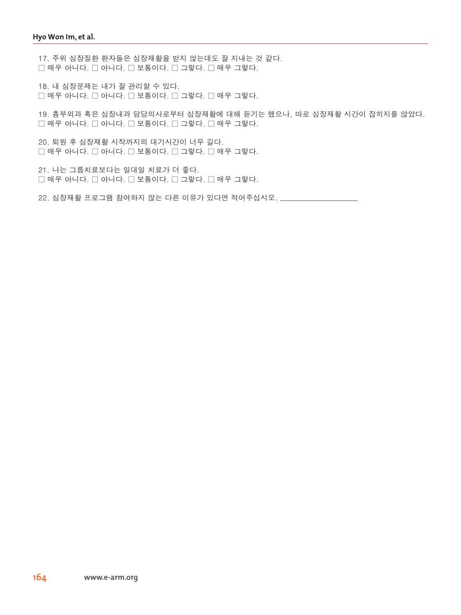17. 주위 심장질환 환자들은 심장재활을 받지 않는데도 잘 지내는 것 같다. □ 매우 아니다. □ 아니다. □ 보통이다. □ 그렇다. □ 매우 그렇다.

18. 내 심장문제는 내가 잘 관리할 수 있다. □ 매우 아니다. □ 아니다. □ 보통이다. □ 그렇다. □ 매우 그렇다.

19. 흉부외과 혹은 심장내과 담당의사로부터 심장재활에 대해 듣기는 했으나, 따로 심장재활 시간이 잡히지를 않았다. □ 매우 아니다. □ 아니다. □ 보통이다. □ 그렇다. □ 매우 그렇다.

20. 퇴원 후 심장재활 시작까지의 대기시간이 너무 길다.  $\Box$  매우 아니다.  $\Box$  아니다.  $\Box$  보통이다.  $\Box$  그렇다.  $\Box$  매우 그렇다.

21. 나는 그룹치료보다는 일대일 치료가 더 좋다. □ 매우 아니다. □ 아니다. □ 보통이다. □ 그렇다. □ 매우 그렇다.

22. 심장재활 프로그램 참여하지 않는 다른 이유가 있다면 적어주십시오. \_\_\_\_\_\_\_\_\_\_\_\_\_\_\_\_\_\_\_\_\_